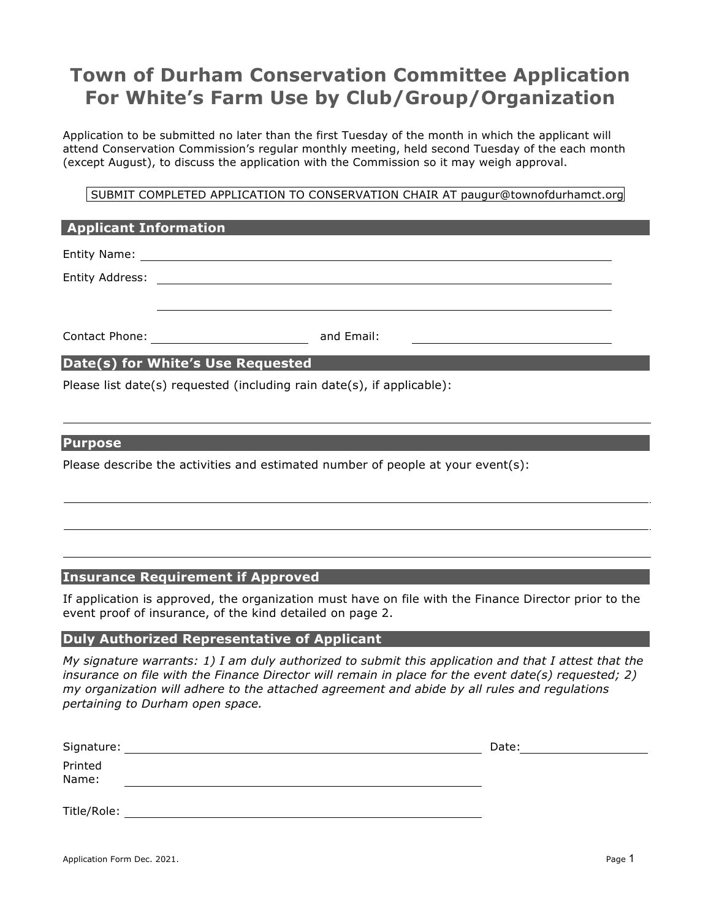# **Town of Durham Conservation Committee Application For White's Farm Use by Club/Group/Organization**

Application to be submitted no later than the first Tuesday of the month in which the applicant will attend Conservation Commission's regular monthly meeting, held second Tuesday of the each month (except August), to discuss the application with the Commission so it may weigh approval.

SUBMIT COMPLETED APPLICATION TO CONSERVATION CHAIR AT paugur@townofdurhamct.org

| <b>Applicant Information</b>      |            |  |
|-----------------------------------|------------|--|
|                                   |            |  |
| Entity Address:                   |            |  |
|                                   |            |  |
| Contact Phone:                    | and Email: |  |
| Date(s) for White's Use Requested |            |  |

Please list date(s) requested (including rain date(s), if applicable):

#### **Purpose**

Please describe the activities and estimated number of people at your event(s):

## **Insurance Requirement if Approved**

If application is approved, the organization must have on file with the Finance Director prior to the event proof of insurance, of the kind detailed on page 2.

### **Duly Authorized Representative of Applicant**

*My signature warrants: 1) I am duly authorized to submit this application and that I attest that the insurance on file with the Finance Director will remain in place for the event date(s) requested; 2) my organization will adhere to the attached agreement and abide by all rules and regulations pertaining to Durham open space.*

| Signature:       | Date: |
|------------------|-------|
| Printed<br>Name: |       |
| Title/Role:      |       |